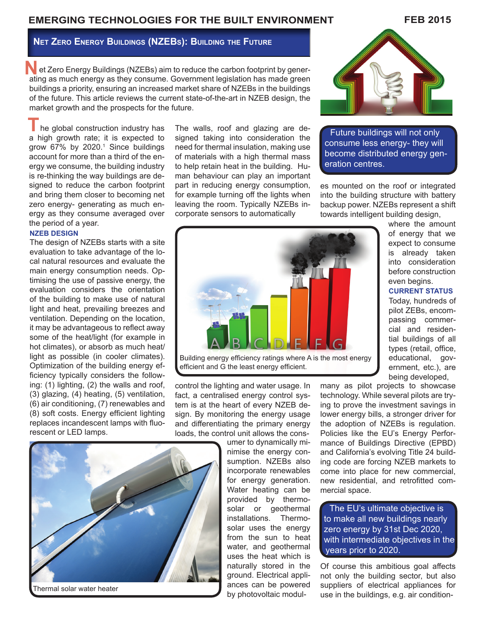# **EMERGING TECHNOLOGIES FOR THE BUILT ENVIRONMENT**

**Net Zero Energy Buildings (NZEBs): Building the Future**

et Zero Energy Buildings (NZEBs) aim to reduce the carbon footprint by gener-<br>ating as much energy as they consume. Government legislation has made green ating as much energy as they consume. Government legislation has made green buildings a priority, ensuring an increased market share of NZEBs in the buildings of the future. This article reviews the current state-of-the-art in NZEB design, the market growth and the prospects for the future.

The global construction industry has The walls, roof and glazing are de-<br>a bigh growth rate: it is expected to signed taking into consideration the **Future buildings will not only** a high growth rate; it is expected to grow 67% by 2020.<sup>1</sup> Since buildings account for more than a third of the energy we consume, the building industry is re-thinking the way buildings are designed to reduce the carbon footprint and bring them closer to becoming net zero energy- generating as much energy as they consume averaged over the period of a year.

#### **NZEB DESIGN**

The design of NZEBs starts with a site evaluation to take advantage of the local natural resources and evaluate the main energy consumption needs. Optimising the use of passive energy, the evaluation considers the orientation of the building to make use of natural light and heat, prevailing breezes and ventilation. Depending on the location, it may be advantageous to reflect away some of the heat/light (for example in hot climates), or absorb as much heat/ light as possible (in cooler climates). Optimization of the building energy efficiency typically considers the following: (1) lighting, (2) the walls and roof, (3) glazing, (4) heating, (5) ventilation, (6) air conditioning, (7) renewables and (8) soft costs. Energy efficient lighting replaces incandescent lamps with fluorescent or LED lamps.

Thermal solar water heater

The walls, roof and glazing are designed taking into consideration the need for thermal insulation, making use of materials with a high thermal mass to help retain heat in the building. Human behaviour can play an important part in reducing energy consumption, for example turning off the lights when leaving the room. Typically NZEBs incorporate sensors to automatically



consume less energy- they will become distributed energy generation centres.

es mounted on the roof or integrated into the building structure with battery backup power. NZEBs represent a shift towards intelligent building design,



Building energy efficiency ratings where A is the most energy efficient and G the least energy efficient.

control the lighting and water usage. In fact, a centralised energy control system is at the heart of every NZEB design. By monitoring the energy usage and differentiating the primary energy loads, the control unit allows the cons-

umer to dynamically minimise the energy consumption. NZEBs also incorporate renewables for energy generation. Water heating can be provided by thermosolar or geothermal installations. Thermosolar uses the energy from the sun to heat water, and geothermal uses the heat which is naturally stored in the ground. Electrical appliances can be powered by photovoltaic modulwhere the amount of energy that we expect to consume is already taken into consideration before construction even begins.

### **CURRENT STATUS**

Today, hundreds of pilot ZEBs, encompassing commercial and residential buildings of all types (retail, office, educational, government, etc.), are being developed,

many as pilot projects to showcase technology. While several pilots are trying to prove the investment savings in lower energy bills, a stronger driver for the adoption of NZEBs is regulation. Policies like the EU's Energy Performance of Buildings Directive (EPBD) and California's evolving Title 24 building code are forcing NZEB markets to come into place for new commercial, new residential, and retrofitted commercial space.

The EU's ultimate objective is to make all new buildings nearly zero energy by 31st Dec 2020, with intermediate objectives in the years prior to 2020.

Of course this ambitious goal affects not only the building sector, but also suppliers of electrical appliances for use in the buildings, e.g. air condition-

## **FEB 2015**